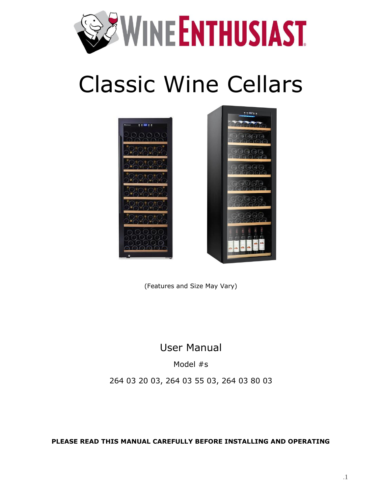

# Classic Wine Cellars



(Features and Size May Vary)

### User Manual

Model #s

264 03 20 03, 264 03 55 03, 264 03 80 03

**PLEASE READ THIS MANUAL CAREFULLY BEFORE INSTALLING AND OPERATING**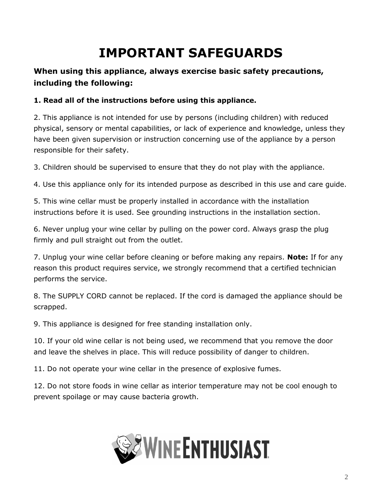# **IMPORTANT SAFEGUARDS**

#### <span id="page-1-0"></span>**When using this appliance, always exercise basic safety precautions, including the following:**

#### **1. Read all of the instructions before using this appliance.**

2. This appliance is not intended for use by persons (including children) with reduced physical, sensory or mental capabilities, or lack of experience and knowledge, unless they have been given supervision or instruction concerning use of the appliance by a person responsible for their safety.

3. Children should be supervised to ensure that they do not play with the appliance.

4. Use this appliance only for its intended purpose as described in this use and care guide.

5. This wine cellar must be properly installed in accordance with the installation instructions before it is used. See grounding instructions in the installation section.

6. Never unplug your wine cellar by pulling on the power cord. Always grasp the plug firmly and pull straight out from the outlet.

7. Unplug your wine cellar before cleaning or before making any repairs. **Note:** If for any reason this product requires service, we strongly recommend that a certified technician performs the service.

8. The SUPPLY CORD cannot be replaced. If the cord is damaged the appliance should be scrapped.

9. This appliance is designed for free standing installation only.

10. If your old wine cellar is not being used, we recommend that you remove the door and leave the shelves in place. This will reduce possibility of danger to children.

11. Do not operate your wine cellar in the presence of explosive fumes.

12. Do not store foods in wine cellar as interior temperature may not be cool enough to prevent spoilage or may cause bacteria growth.

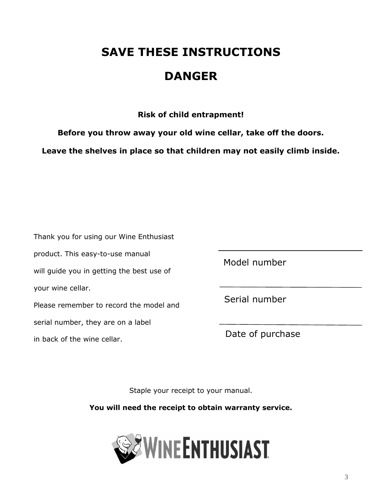# **SAVE THESE INSTRUCTIONS**

## **DANGER**

**Risk of child entrapment!**

**Before you throw away your old wine cellar, take off the doors.** 

**Leave the shelves in place so that children may not easily climb inside.**

| Thank you for using our Wine Enthusiast   |
|-------------------------------------------|
| product. This easy-to-use manual          |
| will guide you in getting the best use of |
| your wine cellar.                         |
| Please remember to record the model and   |
| serial number, they are on a label        |
|                                           |

in back of the wine cellar.

Model number

Serial number

Date of purchase

Staple your receipt to your manual.

**You will need the receipt to obtain warranty service.**

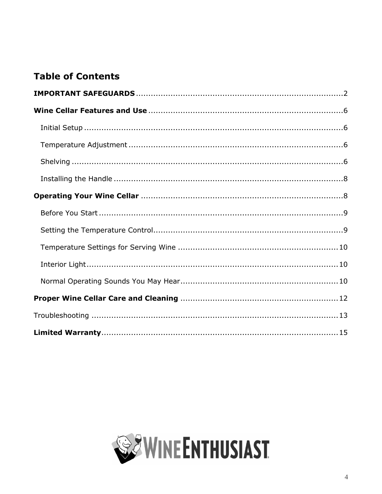#### **Table of Contents**

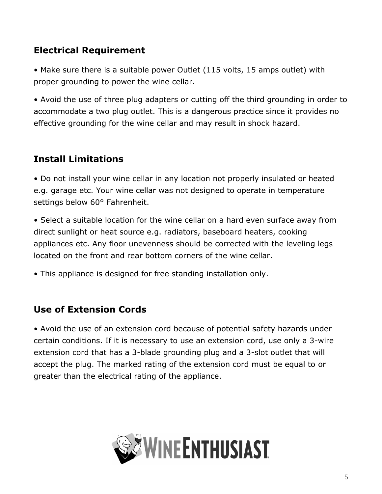#### **Electrical Requirement**

• Make sure there is a suitable power Outlet (115 volts, 15 amps outlet) with proper grounding to power the wine cellar.

• Avoid the use of three plug adapters or cutting off the third grounding in order to accommodate a two plug outlet. This is a dangerous practice since it provides no effective grounding for the wine cellar and may result in shock hazard.

### **Install Limitations**

• Do not install your wine cellar in any location not properly insulated or heated e.g. garage etc. Your wine cellar was not designed to operate in temperature settings below 60° Fahrenheit.

• Select a suitable location for the wine cellar on a hard even surface away from direct sunlight or heat source e.g. radiators, baseboard heaters, cooking appliances etc. Any floor unevenness should be corrected with the leveling legs located on the front and rear bottom corners of the wine cellar.

• This appliance is designed for free standing installation only.

#### **Use of Extension Cords**

• Avoid the use of an extension cord because of potential safety hazards under certain conditions. If it is necessary to use an extension cord, use only a 3-wire extension cord that has a 3-blade grounding plug and a 3-slot outlet that will accept the plug. The marked rating of the extension cord must be equal to or greater than the electrical rating of the appliance.

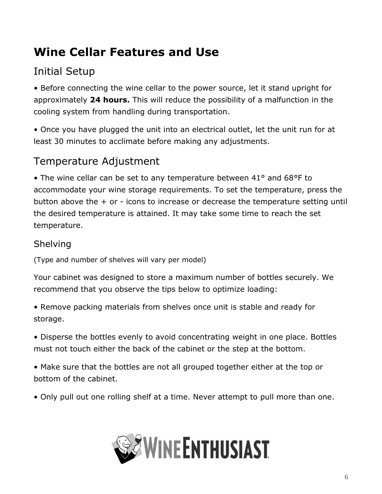# <span id="page-5-0"></span>**Wine Cellar Features and Use**

# <span id="page-5-1"></span>Initial Setup

• Before connecting the wine cellar to the power source, let it stand upright for approximately **24 hours.** This will reduce the possibility of a malfunction in the cooling system from handling during transportation.

• Once you have plugged the unit into an electrical outlet, let the unit run for at least 30 minutes to acclimate before making any adjustments.

### <span id="page-5-2"></span>Temperature Adjustment

• The wine cellar can be set to any temperature between 41° and 68°F to accommodate your wine storage requirements. To set the temperature, press the button above the + or - icons to increase or decrease the temperature setting until the desired temperature is attained. It may take some time to reach the set temperature.

#### <span id="page-5-3"></span>Shelving

(Type and number of shelves will vary per model)

Your cabinet was designed to store a maximum number of bottles securely. We recommend that you observe the tips below to optimize loading:

• Remove packing materials from shelves once unit is stable and ready for storage.

• Disperse the bottles evenly to avoid concentrating weight in one place. Bottles must not touch either the back of the cabinet or the step at the bottom.

• Make sure that the bottles are not all grouped together either at the top or bottom of the cabinet.

• Only pull out one rolling shelf at a time. Never attempt to pull more than one.

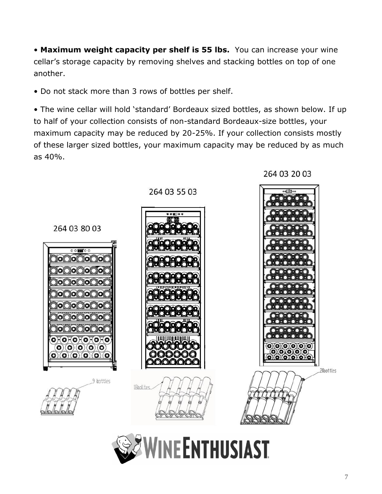• **Maximum weight capacity per shelf is 55 lbs.** You can increase your wine cellar's storage capacity by removing shelves and stacking bottles on top of one another.

• Do not stack more than 3 rows of bottles per shelf.

• The wine cellar will hold 'standard' Bordeaux sized bottles, as shown below. If up to half of your collection consists of non-standard Bordeaux-size bottles, your maximum capacity may be reduced by 20-25%. If your collection consists mostly of these larger sized bottles, your maximum capacity may be reduced by as much as 40%.





264 03 20 03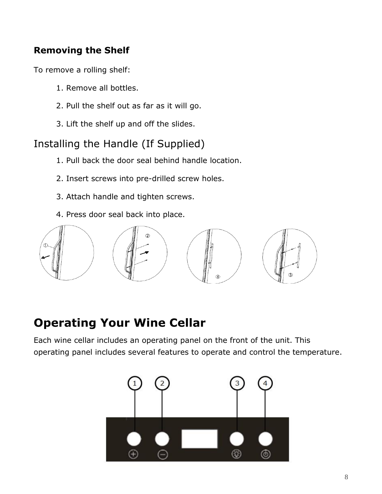#### **Removing the Shelf**

To remove a rolling shelf:

- 1. Remove all bottles.
- 2. Pull the shelf out as far as it will go.
- 3. Lift the shelf up and off the slides.

## <span id="page-7-0"></span>Installing the Handle (If Supplied)

- 1. Pull back the door seal behind handle location.
- 2. Insert screws into pre-drilled screw holes.
- 3. Attach handle and tighten screws.
- 4. Press door seal back into place.



# <span id="page-7-1"></span>**Operating Your Wine Cellar**

Each wine cellar includes an operating panel on the front of the unit. This operating panel includes several features to operate and control the temperature.

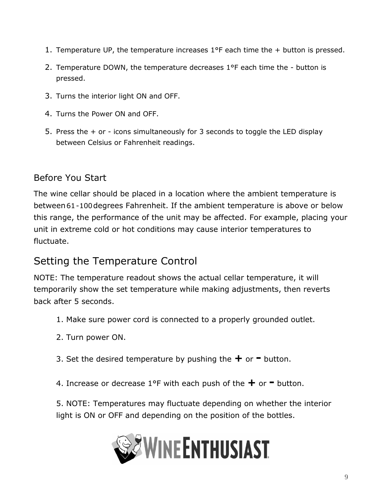- 1. Temperature UP, the temperature increases 1°F each time the + button is pressed.
- 2. Temperature DOWN, the temperature decreases 1°F each time the button is pressed.
- 3. Turns the interior light ON and OFF.
- 4. Turns the Power ON and OFF.
- 5. Press the + or icons simultaneously for 3 seconds to toggle the LED display between Celsius or Fahrenheit readings.

#### <span id="page-8-0"></span>Before You Start

The wine cellar should be placed in a location where the ambient temperature is between 61-100degrees Fahrenheit. If the ambient temperature is above or below this range, the performance of the unit may be affected. For example, placing your unit in extreme cold or hot conditions may cause interior temperatures to fluctuate.

### <span id="page-8-1"></span>Setting the Temperature Control

NOTE: The temperature readout shows the actual cellar temperature, it will temporarily show the set temperature while making adjustments, then reverts back after 5 seconds.

- 1. Make sure power cord is connected to a properly grounded outlet.
- 2. Turn power ON.
- 3. Set the desired temperature by pushing the **+** or **-** button.

4. Increase or decrease 1°F with each push of the **+** or **-** button.

5. NOTE: Temperatures may fluctuate depending on whether the interior light is ON or OFF and depending on the position of the bottles.

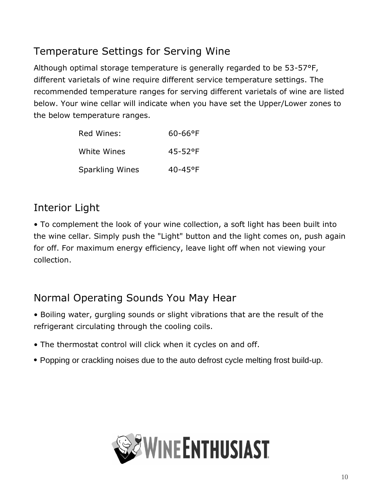## <span id="page-9-0"></span>Temperature Settings for Serving Wine

Although optimal storage temperature is generally regarded to be 53-57°F, different varietals of wine require different service temperature settings. The recommended temperature ranges for serving different varietals of wine are listed below. Your wine cellar will indicate when you have set the Upper/Lower zones to the below temperature ranges.

| Red Wines:             | $60 - 66$ °F |
|------------------------|--------------|
| White Wines            | $45 - 52$ °F |
| <b>Sparkling Wines</b> | 40-45°F      |

# <span id="page-9-1"></span>Interior Light

• To complement the look of your wine collection, a soft light has been built into the wine cellar. Simply push the "Light" button and the light comes on, push again for off. For maximum energy efficiency, leave light off when not viewing your collection.

### <span id="page-9-2"></span>Normal Operating Sounds You May Hear

- Boiling water, gurgling sounds or slight vibrations that are the result of the refrigerant circulating through the cooling coils.
- The thermostat control will click when it cycles on and off.
- Popping or crackling noises due to the auto defrost cycle melting frost build-up.

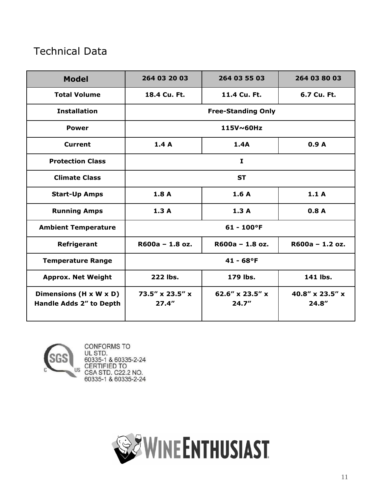### Technical Data

| <b>Model</b>                                      | 264 03 20 03                           | 264 03 55 03                            | 264 03 80 03                            |
|---------------------------------------------------|----------------------------------------|-----------------------------------------|-----------------------------------------|
| <b>Total Volume</b>                               | 18.4 Cu. Ft.                           | 11.4 Cu. Ft.                            | 6.7 Cu. Ft.                             |
| <b>Installation</b>                               | <b>Free-Standing Only</b>              |                                         |                                         |
| <b>Power</b>                                      | 115V~60Hz                              |                                         |                                         |
| <b>Current</b>                                    | 1.4A                                   | 1.4A                                    | 0.9A                                    |
| <b>Protection Class</b>                           | $\mathbf{I}$                           |                                         |                                         |
| <b>Climate Class</b>                              | <b>ST</b>                              |                                         |                                         |
| <b>Start-Up Amps</b>                              | 1.8A                                   | 1.6A                                    | 1.1A                                    |
| <b>Running Amps</b>                               | 1.3A                                   | 1.3A                                    | 0.8A                                    |
| <b>Ambient Temperature</b>                        | $61 - 100$ °F                          |                                         |                                         |
| Refrigerant                                       | $R600a - 1.8 oz.$                      | $R600a - 1.8 oz.$                       | $R600a - 1.2 oz.$                       |
| <b>Temperature Range</b>                          | $41 - 68$ °F                           |                                         |                                         |
| <b>Approx. Net Weight</b>                         | 222 lbs.                               | 179 lbs.                                | 141 lbs.                                |
| Dimensions (H x W x D)<br>Handle Adds 2" to Depth | $73.5'' \times 23.5'' \times$<br>27.4" | 62.6" $\times$ 23.5" $\times$<br>24.7'' | 40.8" $\times$ 23.5" $\times$<br>24.8'' |

<span id="page-10-0"></span>

CONFORMS TO UL STD.<br>60335-1 & 60335-2-24 CERTIFIED TO<br>CSA STD. C22.2 NO.<br>60335-1 & 60335-2-24

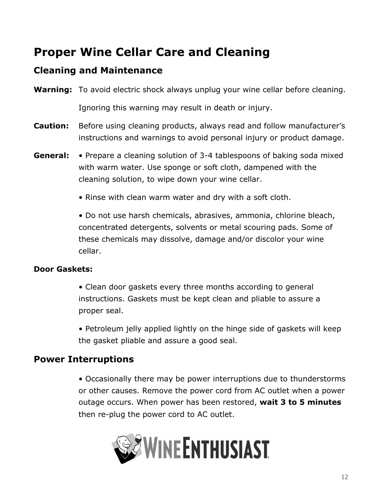# **Proper Wine Cellar Care and Cleaning**

#### **Cleaning and Maintenance**

**Warning:** To avoid electric shock always unplug your wine cellar before cleaning.

Ignoring this warning may result in death or injury.

- **Caution:** Before using cleaning products, always read and follow manufacturer's instructions and warnings to avoid personal injury or product damage.
- **General:** Prepare a cleaning solution of 3-4 tablespoons of baking soda mixed with warm water. Use sponge or soft cloth, dampened with the cleaning solution, to wipe down your wine cellar.
	- Rinse with clean warm water and dry with a soft cloth.

• Do not use harsh chemicals, abrasives, ammonia, chlorine bleach, concentrated detergents, solvents or metal scouring pads. Some of these chemicals may dissolve, damage and/or discolor your wine cellar.

#### **Door Gaskets:**

• Clean door gaskets every three months according to general instructions. Gaskets must be kept clean and pliable to assure a proper seal.

• Petroleum jelly applied lightly on the hinge side of gaskets will keep the gasket pliable and assure a good seal.

#### **Power Interruptions**

• Occasionally there may be power interruptions due to thunderstorms or other causes. Remove the power cord from AC outlet when a power outage occurs. When power has been restored, **wait 3 to 5 minutes** then re-plug the power cord to AC outlet.

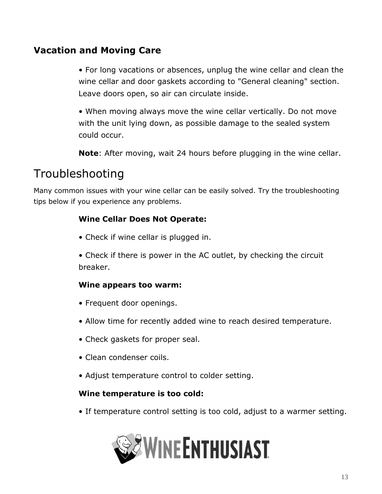#### **Vacation and Moving Care**

• For long vacations or absences, unplug the wine cellar and clean the wine cellar and door gaskets according to "General cleaning" section. Leave doors open, so air can circulate inside.

• When moving always move the wine cellar vertically. Do not move with the unit lying down, as possible damage to the sealed system could occur.

**Note**: After moving, wait 24 hours before plugging in the wine cellar.

## <span id="page-12-0"></span>Troubleshooting

Many common issues with your wine cellar can be easily solved. Try the troubleshooting tips below if you experience any problems.

#### **Wine Cellar Does Not Operate:**

• Check if wine cellar is plugged in.

• Check if there is power in the AC outlet, by checking the circuit breaker.

#### **Wine appears too warm:**

- Frequent door openings.
- Allow time for recently added wine to reach desired temperature.
- Check gaskets for proper seal.
- Clean condenser coils.
- Adjust temperature control to colder setting.

#### **Wine temperature is too cold:**

• If temperature control setting is too cold, adjust to a warmer setting.

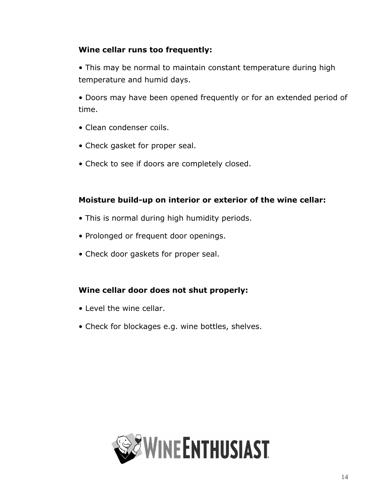#### **Wine cellar runs too frequently:**

• This may be normal to maintain constant temperature during high temperature and humid days.

• Doors may have been opened frequently or for an extended period of time.

- Clean condenser coils.
- Check gasket for proper seal.
- Check to see if doors are completely closed.

#### **Moisture build-up on interior or exterior of the wine cellar:**

- This is normal during high humidity periods.
- Prolonged or frequent door openings.
- Check door gaskets for proper seal.

#### **Wine cellar door does not shut properly:**

- Level the wine cellar.
- <span id="page-13-0"></span>• Check for blockages e.g. wine bottles, shelves.

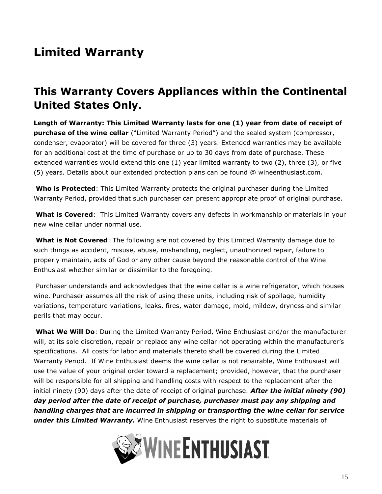# **Limited Warranty**

### **This Warranty Covers Appliances within the Continental United States Only.**

**Length of Warranty: This Limited Warranty lasts for one (1) year from date of receipt of purchase of the wine cellar** ("Limited Warranty Period") and the sealed system (compressor, condenser, evaporator) will be covered for three (3) years. Extended warranties may be available for an additional cost at the time of purchase or up to 30 days from date of purchase. These extended warranties would extend this one (1) year limited warranty to two (2), three (3), or five (5) years. Details about our extended protection plans can be found @ wineenthusiast.com.

**Who is Protected**: This Limited Warranty protects the original purchaser during the Limited Warranty Period, provided that such purchaser can present appropriate proof of original purchase.

**What is Covered**: This Limited Warranty covers any defects in workmanship or materials in your new wine cellar under normal use.

**What is Not Covered**: The following are not covered by this Limited Warranty damage due to such things as accident, misuse, abuse, mishandling, neglect, unauthorized repair, failure to properly maintain, acts of God or any other cause beyond the reasonable control of the Wine Enthusiast whether similar or dissimilar to the foregoing.

Purchaser understands and acknowledges that the wine cellar is a wine refrigerator, which houses wine. Purchaser assumes all the risk of using these units, including risk of spoilage, humidity variations, temperature variations, leaks, fires, water damage, mold, mildew, dryness and similar perils that may occur.

**What We Will Do**: During the Limited Warranty Period, Wine Enthusiast and/or the manufacturer will, at its sole discretion, repair or replace any wine cellar not operating within the manufacturer's specifications. All costs for labor and materials thereto shall be covered during the Limited Warranty Period. If Wine Enthusiast deems the wine cellar is not repairable, Wine Enthusiast will use the value of your original order toward a replacement; provided, however, that the purchaser will be responsible for all shipping and handling costs with respect to the replacement after the initial ninety (90) days after the date of receipt of original purchase. *After the initial ninety (90) day period after the date of receipt of purchase, purchaser must pay any shipping and handling charges that are incurred in shipping or transporting the wine cellar for service under this Limited Warranty.* Wine Enthusiast reserves the right to substitute materials of